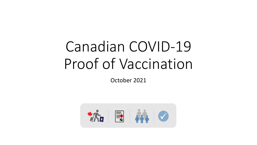# Canadian COVID-19 Proof of Vaccination

October 2021

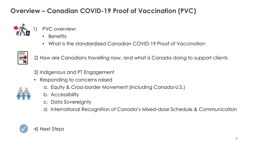### **Overview – Canadian COVID-19 Proof of Vaccination (PVC)**



- PVC overview:
	- Benefits
	- What is the standardized Canadian COVID-19 Proof of Vaccination



2) How are Canadians travelling now, and what is Canada doing to support clients

3) Indigenous and PT Engagement

• Responding to concerns raised



- a. Equity & Cross-border Movement (Including Canada-U.S.)
- b. Accessibility
- c. Data Sovereignty

d. International Recognition of Canada's Mixed-dose Schedule & Communication

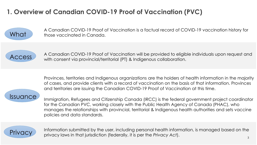### **1. Overview of Canadian COVID-19 Proof of Vaccination (PVC)**



A Canadian COVID-19 Proof of Vaccination is a factual record of COVID-19 vaccination history for those vaccinated in Canada.



ACCESS A Canadian COVID-19 Proof of Vaccination will be provided to eligible individuals upon request and<br>ACCESS Mith accept via provincial theritorial latter a Indianaus collaboration with consent via provincial/territorial (PT) & Indigenous collaboration.

> Provinces, territories and Indigenous organizations are the holders of health information in the majority of cases, and provide clients with a record of vaccination on the basis of that information. Provinces and territories are issuing the Canadian COVID-19 Proof of Vaccination at this time.

**Issuance** 

Immigration, Refugees and Citizenship Canada (IRCC) is the federal government project coordinator for the Canadian PVC, working closely with the Public Health Agency of Canada (PHAC), who manages the relationships with provincial, territorial & Indigenous health authorities and sets vaccine policies and data standards.



**Privacy** Information submitted by the user, including personal health information, is managed based on the **Privacy** privacy laws in that jurisdiction (federally, it is per the *Privacy Act*).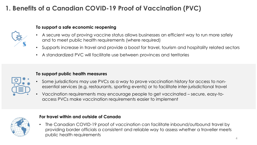## **1. Benefits of a Canadian COVID-19 Proof of Vaccination (PVC)**



#### **To support a safe economic reopening**

- A secure way of proving vaccine status allows businesses an efficient way to run more safely and to meet public health requirements (where required)
- Supports increase in travel and provide a boost for travel, tourism and hospitality related sectors
- A standardized PVC will facilitate use between provinces and territories



#### **To support public health measures**

- Some jurisdictions may use PVCs as a way to prove vaccination history for access to nonessential services (e.g. restaurants, sporting events) or to facilitate inter-jurisdictional travel
- Vaccination requirements may encourage people to get vaccinated secure, easy-toaccess PVCs make vaccination requirements easier to implement



#### **For travel within and outside of Canada**

• The Canadian COVID-19 proof of vaccination can facilitate inbound/outbound travel by providing border officials a consistent and reliable way to assess whether a traveller meets public health requirements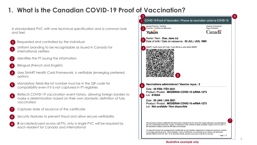### **1. What is the Canadian COVID-19 Proof of Vaccination?**

A standardized PVC with one technical specification and a common look and feel.

- Requested and controlled by the individual
- Uniform branding to be recognizable as issued in Canada for international verifiers 1
- Identifies the PT issuing the information 2
- Bilingual (French and English) 3

0

- Uses SMART Health Card Framework, is verifiable (emerging preferred option) 4
- Mandatory fields like lot number must be in the QR code for compatibility even if it is not captured in PT registries  $5<sup>5</sup>$
- Reflects COVID-19 vaccination event history, allowing foreign borders to make a determination based on their own domestic definition of fully vaccinated 6
- Captures date of issuance of the certificate 7
- Security features to prevent fraud and allow secure verifiability 8
- **If** accepted/used across all PTs, only a single PVC will be required by each resident for Canada and international 9



#### *illustrative example only*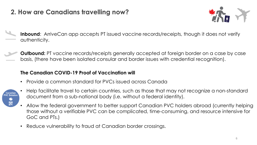### **2. How are Canadians travelling now?**



- **Inbound**: ArriveCan app accepts PT issued vaccine records/receipts, though it does not verify authenticity.
	- **Outbound:** PT vaccine records/receipts generally accepted at foreign border on a case by case basis, (there have been isolated consular and border issues with credential recognition).

#### **The Canadian COVID-19 Proof of Vaccination will**

• Provide a common standard for PVCs issued across Canada



- Help facilitate travel to certain countries, such as those that may not recognize a non-standard document from a sub-national body (i.e. without a federal identity).
- Allow the federal government to better support Canadian PVC holders abroad (currently helping those without a verifiable PVC can be complicated, time-consuming, and resource intensive for GoC and PTs.)
- Reduce vulnerability to fraud at Canadian border crossings.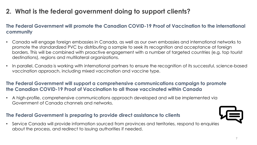### **2. What is the federal government doing to support clients?**

#### **The Federal Government will promote the Canadian COVID-19 Proof of Vaccination to the international community**

- Canada will engage foreign embassies in Canada, as well as our own embassies and international networks to promote the standardized PVC by distributing a sample to seek its recognition and acceptance at foreign borders. This will be combined with proactive engagement with a number of targeted countries (e.g. top tourist destinations), regions and multilateral organizations.
- In parallel, Canada is working with international partners to ensure the recognition of its successful, science-based vaccination approach, including mixed vaccination and vaccine type.

#### **The Federal Government will support a comprehensive communications campaign to promote the Canadian COVID-19 Proof of Vaccination to all those vaccinated within Canada**

• A high-profile, comprehensive communications approach developed and will be implemented via Government of Canada channels and networks.

#### **The Federal Government is preparing to provide direct assistance to clients**



• Service Canada will provide information sourced from provinces and territories, respond to enquiries about the process, and redirect to issuing authorities if needed.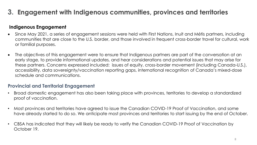### **3. Engagement with Indigenous communities, provinces and territories**

#### **Indigenous Engagement**

- Since May 2021, a series of engagement sessions were held with First Nations, Inuit and Métis partners, including communities that are close to the U.S. border, and those involved in frequent cross-border travel for cultural, work or familial purposes.
- The objectives of this engagement were to ensure that Indigenous partners are part of the conversation at an early stage, to provide informational updates, and hear considerations and potential issues that may arise for these partners. Concerns expressed included: issues of equity, cross-border movement (including Canada-U.S.), accessibility, data sovereignty/vaccination reporting gaps, international recognition of Canada's mixed-dose schedule and communications.

#### **Provincial and Territorial Engagement**

- Broad domestic engagement has also been taking place with provinces, territories to develop a standardized proof of vaccination.
- Most provinces and territories have agreed to issue the Canadian COVID-19 Proof of Vaccination, and some have already started to do so. We anticipate most provinces and territories to start issuing by the end of October.
- CBSA has indicated that they will likely be ready to verify the Canadian COVID-19 Proof of Vaccination by October 19.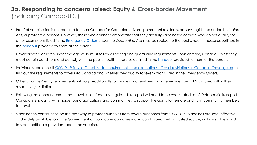### **3a. Responding to concerns raised: Equity & Cross-border Movement**  (including Canada-U.S.)

- Proof of vaccination is not required to enter Canada for Canadian citizens, permanent residents, persons registered under the *Indian Act*, or protected persons. However, those who cannot demonstrate that they are fully vaccinated or those who do not qualify for other exemptions listed in the [Emergency Orders](https://www.canada.ca/en/public-health/corporate/mandate/about-agency/acts-regulations/list-acts-regulations.html) under the *Quarantine Act* may be subject to the public health measures outlined in the [handout](https://www.canada.ca/content/dam/phac-aspc/documents/services/publications/diseases-conditions/coronavirus/travellers-over-12-without-symptoms-medically-exempt-vaccination/medically-exempt-en.pdf) provided to them at the border.
- Unvaccinated children under the age of 12 must follow all testing and quarantine requirements upon entering Canada, unless they meet certain conditions and comply with the public health measures outlined in the [handout](https://www.canada.ca/content/dam/hc-sc/documents/services/publications/diseases-conditions/unvaccinated-children-under-12-without-symptoms-travelling-fully-vaccinated-parents-guardians/unvaccinated-children-en.pdf) provided to them at the border.
- Individuals can consult [COVID-19 Travel: Checklists for requirements and exemptions](https://travel.gc.ca/travel-covid/travel-restrictions/exemptions)  Travel restrictions in Canada Travel.gc.ca to find out the requirements to travel into Canada and whether they qualify for exemptions listed in the Emergency Orders.
- Other countries' entry requirements will vary. Additionally, provinces and territories may determine how a PVC is used within their respective jurisdiction.
- Following the announcement that travellers on federally-regulated transport will need to be vaccinated as of October 30, Transport Canada is engaging with Indigenous organizations and communities to support the ability for remote and fly-in community members to travel.
- Vaccination continues to be the best way to protect ourselves from severe outcomes from COVID-19. Vaccines are safe, effective and widely available, and the Government of Canada encourages individuals to speak with a trusted source, including Elders and trusted healthcare providers, about the vaccine.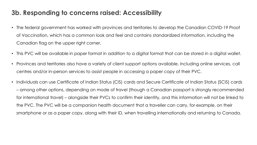### **3b. Responding to concerns raised: Accessibility**

- The federal government has worked with provinces and territories to develop the Canadian COVID-19 Proof of Vaccination, which has a common look and feel and contains standardized information, including the Canadian flag on the upper right corner.
- This PVC will be available in paper format in addition to a digital format that can be stored in a digital wallet.
- Provinces and territories also have a variety of client support options available, including online services, call centres and/or in-person services to assist people in accessing a paper copy of their PVC.
- Individuals can use Certificate of Indian Status (CIS) cards and Secure Certificate of Indian Status (SCIS) cards – among other options, depending on mode of travel (though a Canadian passport is strongly recommended for international travel) – alongside their PVCs to confirm their identity, and this information will not be linked to the PVC. The PVC will be a companion health document that a traveller can carry, for example, on their smartphone or as a paper copy, along with their ID, when travelling internationally and returning to Canada.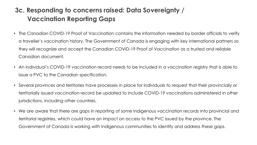### **3c. Responding to concerns raised: Data Sovereignty / Vaccination Reporting Gaps**

- The Canadian COVID-19 Proof of Vaccination contains the information needed by border officials to verify a traveller's vaccination history. The Government of Canada is engaging with key international partners so they will recognize and accept the Canadian COVID-19 Proof of Vaccination as a trusted and reliable Canadian document.
- An individual's COVID-19 vaccination record needs to be included in a vaccination registry that is able to issue a PVC to the Canadian specification.
- Several provinces and territories have processes in place for individuals to request that their provincially or territorially issued vaccination record be updated to include COVID-19 vaccinations administered in other jurisdictions, including other countries.
- We are aware that there are gaps in reporting of some Indigenous vaccination records into provincial and territorial registries, which could have an impact on access to the PVC issued by the province. The Government of Canada is working with Indigenous communities to identify and address these gaps.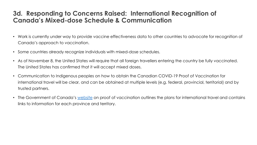### **3d. Responding to Concerns Raised: International Recognition of Canada's Mixed-dose Schedule & Communication**

- Work is currently under way to provide vaccine effectiveness data to other countries to advocate for recognition of Canada's approach to vaccination.
- Some countries already recognize individuals with mixed-dose schedules.
- As of November 8, the United States will require that all foreign travellers entering the country be fully vaccinated. The United States has confirmed that it will accept mixed doses.
- Communication to Indigenous peoples on how to obtain the Canadian COVID-19 Proof of Vaccination for international travel will be clear, and can be obtained at multiple levels (e.g. federal, provincial, territorial) and by trusted partners.
- The Government of Canada's [website](https://www.canada.ca/en/public-health/services/diseases/coronavirus-disease-covid-19/vaccines/life-after-vaccination/vaccine-proof.html) on proof of vaccination outlines the plans for international travel and contains links to information for each province and territory.